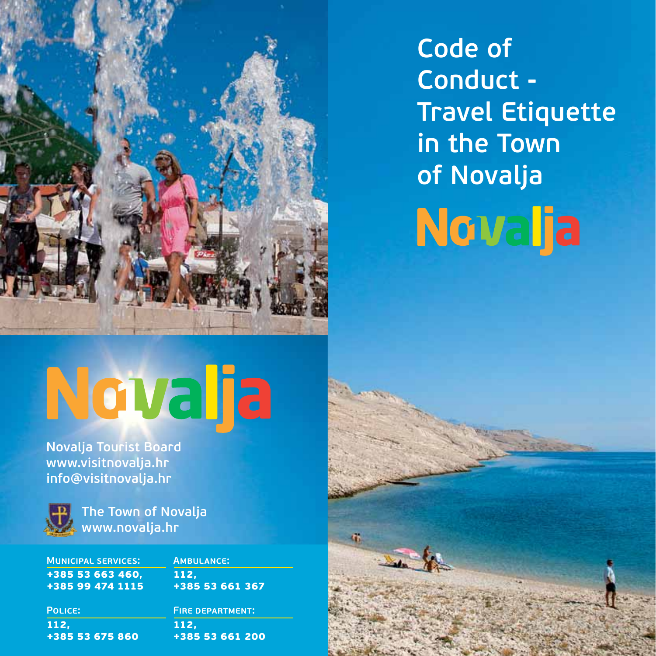

**Code of Conduct - Travel Etiquette in the Town of Novalja**

**Novalja** 

## Novalja

**Novalja Tourist Board www.visitnovalja.hr info@visitnovalja.hr**



**The Town of Novalja www.novalja.hr**

**Municipal services:** +385 53 663 460, +385 99 474 1115 **Ambulance:**  112, +385 53 661 367  $\cdot$ 

**Police:**  112, +385 53 675 860 **Fire department:**  112, +385 53 661 200